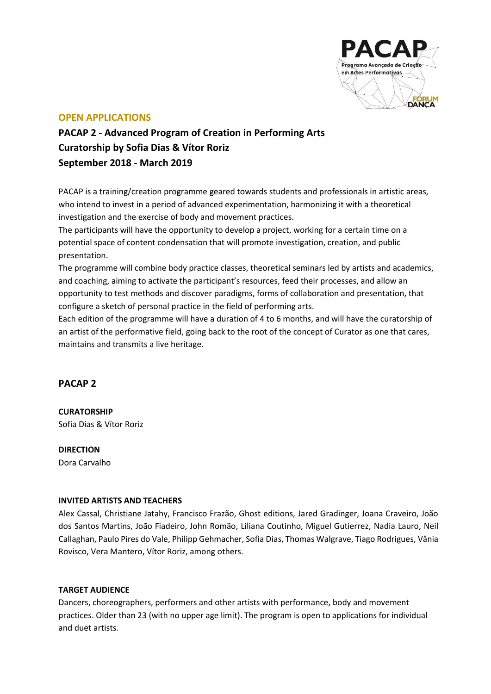

# **OPEN APPLICATIONS**

**PACAP 2 - Advanced Program of Creation in Performing Arts Curatorship by Sofia Dias & Vítor Roriz September 2018 - March 2019**

PACAP is a training/creation programme geared towards students and professionals in artistic areas, who intend to invest in a period of advanced experimentation, harmonizing it with a theoretical investigation and the exercise of body and movement practices.

The participants will have the opportunity to develop a project, working for a certain time on a potential space of content condensation that will promote investigation, creation, and public presentation.

The programme will combine body practice classes, theoretical seminars led by artists and academics, and coaching, aiming to activate the participant's resources, feed their processes, and allow an opportunity to test methods and discover paradigms, forms of collaboration and presentation, that configure a sketch of personal practice in the field of performing arts.

Each edition of the programme will have a duration of 4 to 6 months, and will have the curatorship of an artist of the performative field, going back to the root of the concept of Curator as one that cares, maintains and transmits a live heritage.

# **PACAP 2**

**CURATORSHIP** Sofia Dias & Vítor Roriz

**DIRECTION** Dora Carvalho

## **INVITED ARTISTS AND TEACHERS**

Alex Cassal, Christiane Jatahy, Francisco Frazão, Ghost editions, Jared Gradinger, Joana Craveiro, João dos Santos Martins, João Fiadeiro, John Romão, Liliana Coutinho, Miguel Gutierrez, Nadia Lauro, Neil Callaghan, Paulo Pires do Vale, Philipp Gehmacher, Sofia Dias, Thomas Walgrave, Tiago Rodrigues, Vânia Rovisco, Vera Mantero, Vítor Roriz, among others.

## **TARGET AUDIENCE**

Dancers, choreographers, performers and other artists with performance, body and movement practices. Older than 23 (with no upper age limit). The program is open to applications for individual and duet artists.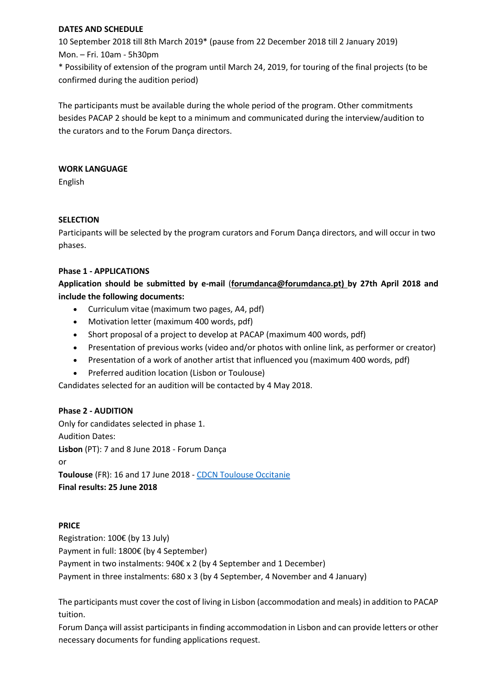### **DATES AND SCHEDULE**

10 September 2018 till 8th March 2019\* (pause from 22 December 2018 till 2 January 2019) Mon. – Fri. 10am - 5h30pm

\* Possibility of extension of the program until March 24, 2019, for touring of the final projects (to be confirmed during the audition period)

The participants must be available during the whole period of the program. Other commitments besides PACAP 2 should be kept to a minimum and communicated during the interview/audition to the curators and to the Forum Dança directors.

### **WORK LANGUAGE**

English

### **SELECTION**

Participants will be selected by the program curators and Forum Dança directors, and will occur in two phases.

### **Phase 1 - APPLICATIONS**

# **Application should be submitted by e-mail** (**forumdanca@forumdanca.pt) by 27th April 2018 and include the following documents:**

- Curriculum vitae (maximum two pages, A4, pdf)
- Motivation letter (maximum 400 words, pdf)
- Short proposal of a project to develop at PACAP (maximum 400 words, pdf)
- Presentation of previous works (video and/or photos with online link, as performer or creator)
- Presentation of a work of another artist that influenced you (maximum 400 words, pdf)
- Preferred audition location (Lisbon or Toulouse)

Candidates selected for an audition will be contacted by 4 May 2018.

## **Phase 2 - AUDITION**

Only for candidates selected in phase 1. Audition Dates: **Lisbon** (PT): 7 and 8 June 2018 - Forum Dança or **Toulouse** (FR): 16 and 17 June 2018 - [CDCN Toulouse Occitanie](http://laplacedeladanse.com/) **Final results: 25 June 2018**

## **PRICE**

Registration: 100€ (by 13 July) Payment in full: 1800€ (by 4 September)

Payment in two instalments: 940€ x 2 (by 4 September and 1 December) Payment in three instalments: 680 x 3 (by 4 September, 4 November and 4 January)

The participants must cover the cost of living in Lisbon (accommodation and meals) in addition to PACAP tuition.

Forum Dança will assist participants in finding accommodation in Lisbon and can provide letters or other necessary documents for funding applications request.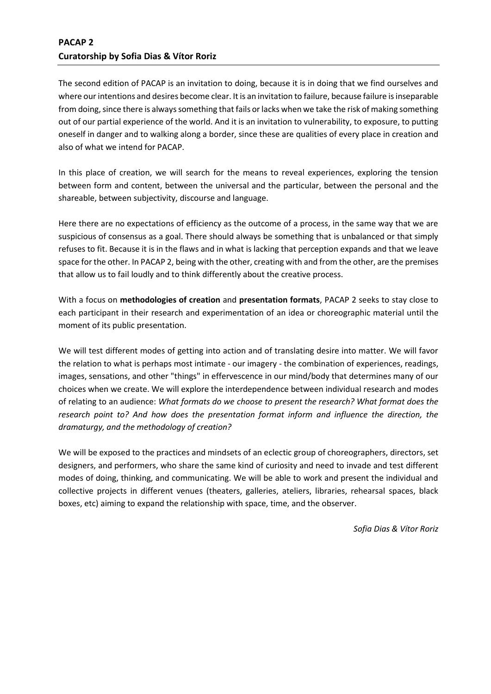# **PACAP 2 Curatorship by Sofia Dias & Vítor Roriz**

The second edition of PACAP is an invitation to doing, because it is in doing that we find ourselves and where our intentions and desires become clear. It is an invitation to failure, because failure is inseparable from doing, since there is always something that fails or lacks when we take the risk of making something out of our partial experience of the world. And it is an invitation to vulnerability, to exposure, to putting oneself in danger and to walking along a border, since these are qualities of every place in creation and also of what we intend for PACAP.

In this place of creation, we will search for the means to reveal experiences, exploring the tension between form and content, between the universal and the particular, between the personal and the shareable, between subjectivity, discourse and language.

Here there are no expectations of efficiency as the outcome of a process, in the same way that we are suspicious of consensus as a goal. There should always be something that is unbalanced or that simply refuses to fit. Because it is in the flaws and in what is lacking that perception expands and that we leave space for the other. In PACAP 2, being with the other, creating with and from the other, are the premises that allow us to fail loudly and to think differently about the creative process.

With a focus on **methodologies of creation** and **presentation formats**, PACAP 2 seeks to stay close to each participant in their research and experimentation of an idea or choreographic material until the moment of its public presentation.

We will test different modes of getting into action and of translating desire into matter. We will favor the relation to what is perhaps most intimate - our imagery - the combination of experiences, readings, images, sensations, and other "things" in effervescence in our mind/body that determines many of our choices when we create. We will explore the interdependence between individual research and modes of relating to an audience: *What formats do we choose to present the research? What format does the research point to? And how does the presentation format inform and influence the direction, the dramaturgy, and the methodology of creation?*

We will be exposed to the practices and mindsets of an eclectic group of choreographers, directors, set designers, and performers, who share the same kind of curiosity and need to invade and test different modes of doing, thinking, and communicating. We will be able to work and present the individual and collective projects in different venues (theaters, galleries, ateliers, libraries, rehearsal spaces, black boxes, etc) aiming to expand the relationship with space, time, and the observer.

*Sofia Dias & Vítor Roriz*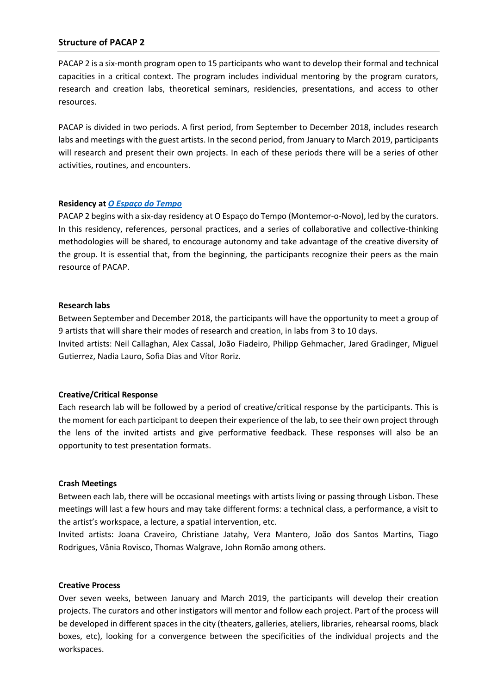### **Structure of PACAP 2**

PACAP 2 is a six-month program open to 15 participants who want to develop their formal and technical capacities in a critical context. The program includes individual mentoring by the program curators, research and creation labs, theoretical seminars, residencies, presentations, and access to other resources.

PACAP is divided in two periods. A first period, from September to December 2018, includes research labs and meetings with the guest artists. In the second period, from January to March 2019, participants will research and present their own projects. In each of these periods there will be a series of other activities, routines, and encounters.

#### **Residency at** *[O Espaço do Tempo](http://www.oespacodotempo.pt/en)*

PACAP 2 begins with a six-day residency at O Espaço do Tempo (Montemor-o-Novo), led by the curators. In this residency, references, personal practices, and a series of collaborative and collective-thinking methodologies will be shared, to encourage autonomy and take advantage of the creative diversity of the group. It is essential that, from the beginning, the participants recognize their peers as the main resource of PACAP.

#### **Research labs**

Between September and December 2018, the participants will have the opportunity to meet a group of 9 artists that will share their modes of research and creation, in labs from 3 to 10 days. Invited artists: Neil Callaghan, Alex Cassal, João Fiadeiro, Philipp Gehmacher, Jared Gradinger, Miguel Gutierrez, Nadia Lauro, Sofia Dias and Vítor Roriz.

#### **Creative/Critical Response**

Each research lab will be followed by a period of creative/critical response by the participants. This is the moment for each participant to deepen their experience of the lab, to see their own project through the lens of the invited artists and give performative feedback. These responses will also be an opportunity to test presentation formats.

#### **Crash Meetings**

Between each lab, there will be occasional meetings with artists living or passing through Lisbon. These meetings will last a few hours and may take different forms: a technical class, a performance, a visit to the artist's workspace, a lecture, a spatial intervention, etc.

Invited artists: Joana Craveiro, Christiane Jatahy, Vera Mantero, João dos Santos Martins, Tiago Rodrigues, Vânia Rovisco, Thomas Walgrave, John Romão among others.

#### **Creative Process**

Over seven weeks, between January and March 2019, the participants will develop their creation projects. The curators and other instigators will mentor and follow each project. Part of the process will be developed in different spaces in the city (theaters, galleries, ateliers, libraries, rehearsal rooms, black boxes, etc), looking for a convergence between the specificities of the individual projects and the workspaces.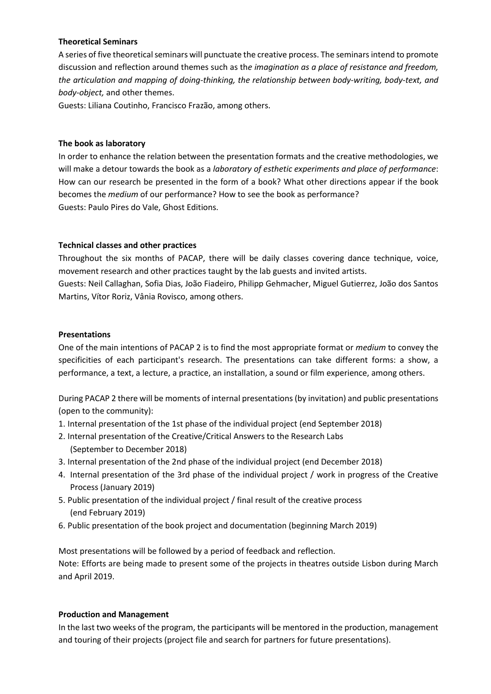### **Theoretical Seminars**

A series of five theoretical seminars will punctuate the creative process. The seminars intend to promote discussion and reflection around themes such as th*e imagination as a place of resistance and freedom, the articulation and mapping of doing-thinking, the relationship between body-writing, body-text, and body-object,* and other themes.

Guests: Liliana Coutinho, Francisco Frazão, among others.

### **The book as laboratory**

In order to enhance the relation between the presentation formats and the creative methodologies, we will make a detour towards the book as a *laboratory of esthetic experiments and place of performance*: How can our research be presented in the form of a book? What other directions appear if the book becomes the *medium* of our performance? How to see the book as performance? Guests: Paulo Pires do Vale, Ghost Editions.

### **Technical classes and other practices**

Throughout the six months of PACAP, there will be daily classes covering dance technique, voice, movement research and other practices taught by the lab guests and invited artists.

Guests: Neil Callaghan, Sofia Dias, João Fiadeiro, Philipp Gehmacher, Miguel Gutierrez, João dos Santos Martins, Vítor Roriz, Vânia Rovisco, among others.

### **Presentations**

One of the main intentions of PACAP 2 is to find the most appropriate format or *medium* to convey the specificities of each participant's research. The presentations can take different forms: a show, a performance, a text, a lecture, a practice, an installation, a sound or film experience, among others.

During PACAP 2 there will be moments of internal presentations (by invitation) and public presentations (open to the community):

- 1. Internal presentation of the 1st phase of the individual project (end September 2018)
- 2. Internal presentation of the Creative/Critical Answers to the Research Labs (September to December 2018)
- 3. Internal presentation of the 2nd phase of the individual project (end December 2018)
- 4. Internal presentation of the 3rd phase of the individual project / work in progress of the Creative Process (January 2019)
- 5. Public presentation of the individual project / final result of the creative process (end February 2019)
- 6. Public presentation of the book project and documentation (beginning March 2019)

Most presentations will be followed by a period of feedback and reflection. Note: Efforts are being made to present some of the projects in theatres outside Lisbon during March and April 2019.

## **Production and Management**

In the last two weeks of the program, the participants will be mentored in the production, management and touring of their projects (project file and search for partners for future presentations).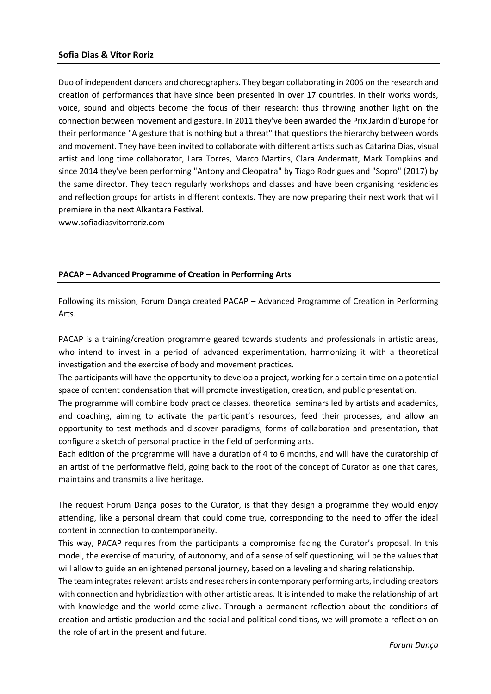#### **Sofia Dias & Vítor Roriz**

Duo of independent dancers and choreographers. They began collaborating in 2006 on the research and creation of performances that have since been presented in over 17 countries. In their works words, voice, sound and objects become the focus of their research: thus throwing another light on the connection between movement and gesture. In 2011 they've been awarded the Prix Jardin d'Europe for their performance "A gesture that is nothing but a threat" that questions the hierarchy between words and movement. They have been invited to collaborate with different artists such as Catarina Dias, visual artist and long time collaborator, Lara Torres, Marco Martins, Clara Andermatt, Mark Tompkins and since 2014 they've been performing "Antony and Cleopatra" by Tiago Rodrigues and "Sopro" (2017) by the same director. They teach regularly workshops and classes and have been organising residencies and reflection groups for artists in different contexts. They are now preparing their next work that will premiere in the next Alkantara Festival.

[www.sofiadiasvitorroriz.com](http://www.sofiadiasvitorroriz.com/)

#### **PACAP – Advanced Programme of Creation in Performing Arts**

Following its mission, Forum Dança created PACAP – Advanced Programme of Creation in Performing Arts.

PACAP is a training/creation programme geared towards students and professionals in artistic areas, who intend to invest in a period of advanced experimentation, harmonizing it with a theoretical investigation and the exercise of body and movement practices.

The participants will have the opportunity to develop a project, working for a certain time on a potential space of content condensation that will promote investigation, creation, and public presentation.

The programme will combine body practice classes, theoretical seminars led by artists and academics, and coaching, aiming to activate the participant's resources, feed their processes, and allow an opportunity to test methods and discover paradigms, forms of collaboration and presentation, that configure a sketch of personal practice in the field of performing arts.

Each edition of the programme will have a duration of 4 to 6 months, and will have the curatorship of an artist of the performative field, going back to the root of the concept of Curator as one that cares, maintains and transmits a live heritage.

The request Forum Dança poses to the Curator, is that they design a programme they would enjoy attending, like a personal dream that could come true, corresponding to the need to offer the ideal content in connection to contemporaneity.

This way, PACAP requires from the participants a compromise facing the Curator's proposal. In this model, the exercise of maturity, of autonomy, and of a sense of self questioning, will be the values that will allow to guide an enlightened personal journey, based on a leveling and sharing relationship.

The team integrates relevant artists and researchers in contemporary performing arts, including creators with connection and hybridization with other artistic areas. It is intended to make the relationship of art with knowledge and the world come alive. Through a permanent reflection about the conditions of creation and artistic production and the social and political conditions, we will promote a reflection on the role of art in the present and future.